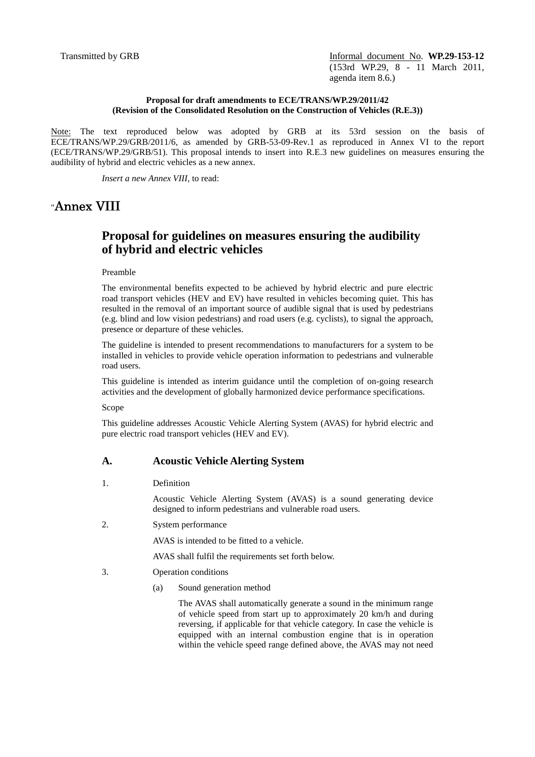Transmitted by GRB **Informal document No. WP.29-153-12** (153rd WP.29, 8 - 11 March 2011, agenda item 8.6.)

### **Proposal for draft amendments to ECE/TRANS/WP.29/2011/42 (Revision of the Consolidated Resolution on the Construction of Vehicles (R.E.3))**

Note: The text reproduced below was adopted by GRB at its 53rd session on the basis of ECE/TRANS/WP.29/GRB/2011/6, as amended by GRB-53-09-Rev.1 as reproduced in Annex VI to the report (ECE/TRANS/WP.29/GRB/51). This proposal intends to insert into R.E.3 new guidelines on measures ensuring the audibility of hybrid and electric vehicles as a new annex.

*Insert a new Annex VIII,* to read:

# "Annex VIII

## **Proposal for guidelines on measures ensuring the audibility of hybrid and electric vehicles**

#### Preamble

The environmental benefits expected to be achieved by hybrid electric and pure electric road transport vehicles (HEV and EV) have resulted in vehicles becoming quiet. This has resulted in the removal of an important source of audible signal that is used by pedestrians (e.g. blind and low vision pedestrians) and road users (e.g. cyclists), to signal the approach, presence or departure of these vehicles.

The guideline is intended to present recommendations to manufacturers for a system to be installed in vehicles to provide vehicle operation information to pedestrians and vulnerable road users.

This guideline is intended as interim guidance until the completion of on-going research activities and the development of globally harmonized device performance specifications.

Scope

This guideline addresses Acoustic Vehicle Alerting System (AVAS) for hybrid electric and pure electric road transport vehicles (HEV and EV).

### **A. Acoustic Vehicle Alerting System**

1. Definition

Acoustic Vehicle Alerting System (AVAS) is a sound generating device designed to inform pedestrians and vulnerable road users.

2. System performance

AVAS is intended to be fitted to a vehicle.

AVAS shall fulfil the requirements set forth below.

- 3. Operation conditions
	- (a) Sound generation method

The AVAS shall automatically generate a sound in the minimum range of vehicle speed from start up to approximately 20 km/h and during reversing, if applicable for that vehicle category. In case the vehicle is equipped with an internal combustion engine that is in operation within the vehicle speed range defined above, the AVAS may not need